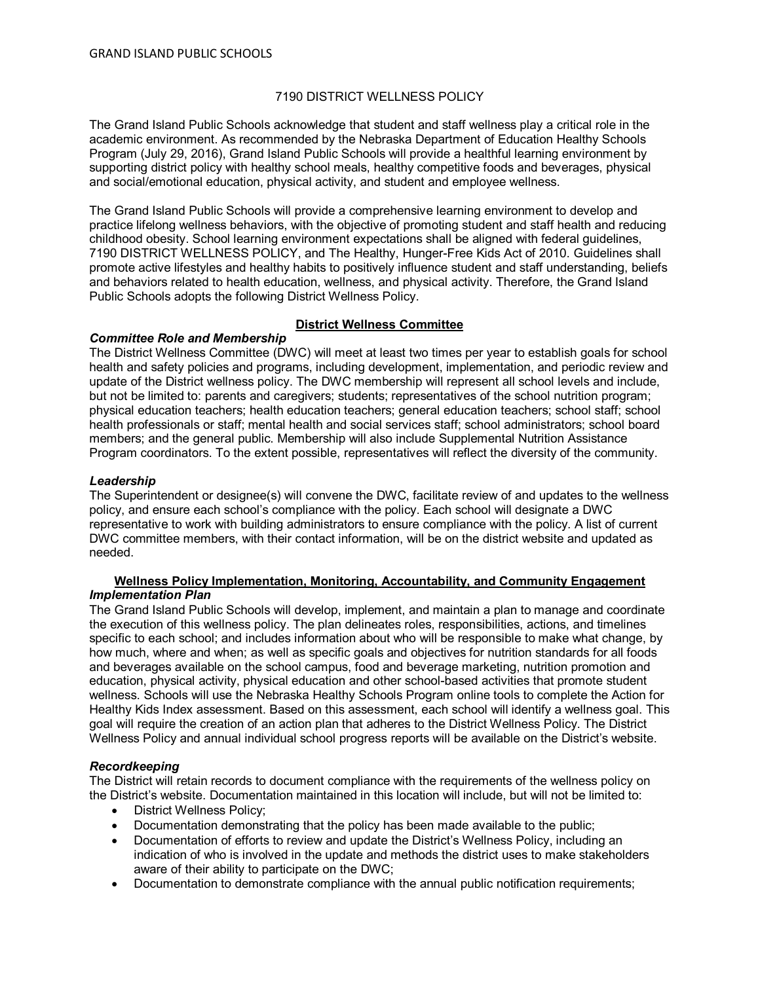# 7190 DISTRICT WELLNESS POLICY

The Grand Island Public Schools acknowledge that student and staff wellness play a critical role in the academic environment. As recommended by the Nebraska Department of Education Healthy Schools Program (July 29, 2016), Grand Island Public Schools will provide a healthful learning environment by supporting district policy with healthy school meals, healthy competitive foods and beverages, physical and social/emotional education, physical activity, and student and employee wellness.

The Grand Island Public Schools will provide a comprehensive learning environment to develop and practice lifelong wellness behaviors, with the objective of promoting student and staff health and reducing childhood obesity. School learning environment expectations shall be aligned with federal guidelines, 7190 DISTRICT WELLNESS POLICY, and The Healthy, Hunger-Free Kids Act of 2010. Guidelines shall promote active lifestyles and healthy habits to positively influence student and staff understanding, beliefs and behaviors related to health education, wellness, and physical activity. Therefore, the Grand Island Public Schools adopts the following District Wellness Policy.

## **District Wellness Committee**

## *Committee Role and Membership*

The District Wellness Committee (DWC) will meet at least two times per year to establish goals for school health and safety policies and programs, including development, implementation, and periodic review and update of the District wellness policy. The DWC membership will represent all school levels and include, but not be limited to: parents and caregivers; students; representatives of the school nutrition program; physical education teachers; health education teachers; general education teachers; school staff; school health professionals or staff; mental health and social services staff; school administrators; school board members; and the general public. Membership will also include Supplemental Nutrition Assistance Program coordinators. To the extent possible, representatives will reflect the diversity of the community.

#### *Leadership*

The Superintendent or designee(s) will convene the DWC, facilitate review of and updates to the wellness policy, and ensure each school's compliance with the policy. Each school will designate a DWC representative to work with building administrators to ensure compliance with the policy. A list of current DWC committee members, with their contact information, will be on the district website and updated as needed.

## **Wellness Policy Implementation, Monitoring, Accountability, and Community Engagement** *Implementation Plan*

The Grand Island Public Schools will develop, implement, and maintain a plan to manage and coordinate the execution of this wellness policy. The plan delineates roles, responsibilities, actions, and timelines specific to each school; and includes information about who will be responsible to make what change, by how much, where and when; as well as specific goals and objectives for nutrition standards for all foods and beverages available on the school campus, food and beverage marketing, nutrition promotion and education, physical activity, physical education and other school-based activities that promote student wellness. Schools will use the Nebraska Healthy Schools Program online tools to complete the Action for Healthy Kids Index assessment. Based on this assessment, each school will identify a wellness goal. This goal will require the creation of an action plan that adheres to the District Wellness Policy. The District Wellness Policy and annual individual school progress reports will be available on the District's website.

## *Recordkeeping*

The District will retain records to document compliance with the requirements of the wellness policy on the District's website. Documentation maintained in this location will include, but will not be limited to:

- District Wellness Policy;
- Documentation demonstrating that the policy has been made available to the public;
- Documentation of efforts to review and update the District's Wellness Policy, including an indication of who is involved in the update and methods the district uses to make stakeholders aware of their ability to participate on the DWC;
- Documentation to demonstrate compliance with the annual public notification requirements;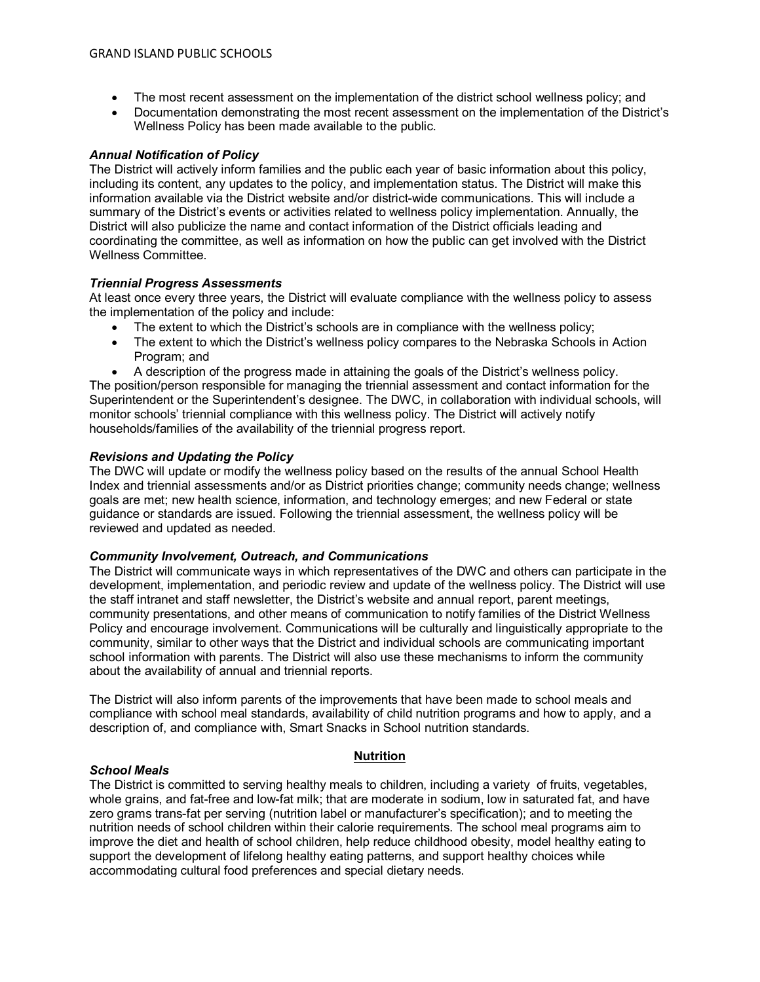- The most recent assessment on the implementation of the district school wellness policy; and
- Documentation demonstrating the most recent assessment on the implementation of the District's Wellness Policy has been made available to the public.

# *Annual Notification of Policy*

The District will actively inform families and the public each year of basic information about this policy, including its content, any updates to the policy, and implementation status. The District will make this information available via the District website and/or district-wide communications. This will include a summary of the District's events or activities related to wellness policy implementation. Annually, the District will also publicize the name and contact information of the District officials leading and coordinating the committee, as well as information on how the public can get involved with the District Wellness Committee.

## *Triennial Progress Assessments*

At least once every three years, the District will evaluate compliance with the wellness policy to assess the implementation of the policy and include:

- The extent to which the District's schools are in compliance with the wellness policy;
- The extent to which the District's wellness policy compares to the Nebraska Schools in Action Program; and
- A description of the progress made in attaining the goals of the District's wellness policy.

The position/person responsible for managing the triennial assessment and contact information for the Superintendent or the Superintendent's designee. The DWC, in collaboration with individual schools, will monitor schools' triennial compliance with this wellness policy. The District will actively notify households/families of the availability of the triennial progress report.

## *Revisions and Updating the Policy*

*School Meals*

The DWC will update or modify the wellness policy based on the results of the annual School Health Index and triennial assessments and/or as District priorities change; community needs change; wellness goals are met; new health science, information, and technology emerges; and new Federal or state guidance or standards are issued. Following the triennial assessment, the wellness policy will be reviewed and updated as needed.

## *Community Involvement, Outreach, and Communications*

The District will communicate ways in which representatives of the DWC and others can participate in the development, implementation, and periodic review and update of the wellness policy. The District will use the staff intranet and staff newsletter, the District's website and annual report, parent meetings, community presentations, and other means of communication to notify families of the District Wellness Policy and encourage involvement. Communications will be culturally and linguistically appropriate to the community, similar to other ways that the District and individual schools are communicating important school information with parents. The District will also use these mechanisms to inform the community about the availability of annual and triennial reports.

The District will also inform parents of the improvements that have been made to school meals and compliance with school meal standards, availability of child nutrition programs and how to apply, and a description of, and compliance with, Smart Snacks in School nutrition standards.

## **Nutrition**

The District is committed to serving healthy meals to children, including a variety of fruits, vegetables, whole grains, and fat-free and low-fat milk; that are moderate in sodium, low in saturated fat, and have zero grams trans-fat per serving (nutrition label or manufacturer's specification); and to meeting the nutrition needs of school children within their calorie requirements. The school meal programs aim to improve the diet and health of school children, help reduce childhood obesity, model healthy eating to support the development of lifelong healthy eating patterns, and support healthy choices while accommodating cultural food preferences and special dietary needs.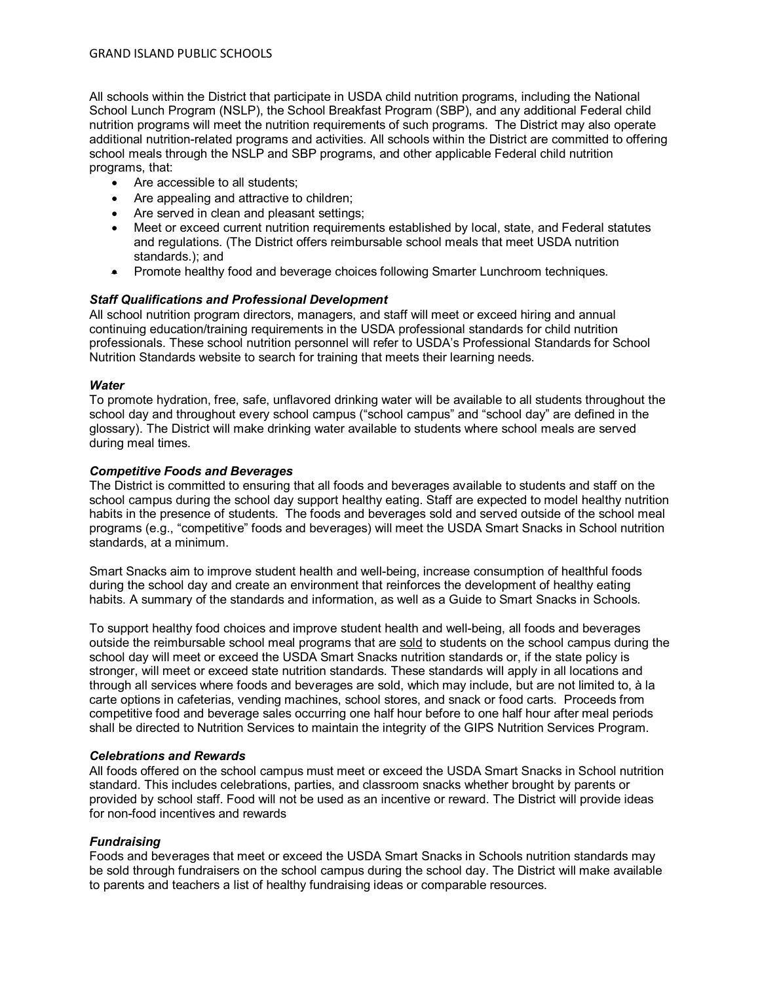All schools within the District that participate in USDA child nutrition programs, including the National School Lunch Program (NSLP), the School Breakfast Program (SBP), and any additional Federal child nutrition programs will meet the nutrition requirements of such programs. The District may also operate additional nutrition-related programs and activities. All schools within the District are committed to offering school meals through the NSLP and SBP programs, and other applicable Federal child nutrition programs, that:

- Are accessible to all students;
- Are appealing and attractive to children;
- Are served in clean and pleasant settings;
- Meet or exceed current nutrition requirements established by local, state, and Federal statutes and regulations. (The District offers reimbursable school meals that meet USDA nutrition standards.); and
- Promote healthy food and beverage choices following Smarter Lunchroom techniques.

# *Staff Qualifications and Professional Development*

All school nutrition program directors, managers, and staff will meet or exceed hiring and annual continuing education/training requirements in the USDA professional standards for child nutrition professionals. These school nutrition personnel will refer to USDA's Professional Standards for School Nutrition Standards website to search for training that meets their learning needs.

# *Water*

To promote hydration, free, safe, unflavored drinking water will be available to all students throughout the school day and throughout every school campus ("school campus" and "school day" are defined in the glossary). The District will make drinking water available to students where school meals are served during meal times.

# *Competitive Foods and Beverages*

The District is committed to ensuring that all foods and beverages available to students and staff on the school campus during the school day support healthy eating. Staff are expected to model healthy nutrition habits in the presence of students. The foods and beverages sold and served outside of the school meal programs (e.g., "competitive" foods and beverages) will meet the USDA Smart Snacks in School nutrition standards, at a minimum.

Smart Snacks aim to improve student health and well-being, increase consumption of healthful foods during the school day and create an environment that reinforces the development of healthy eating habits. A summary of the standards and information, as well as a Guide to Smart Snacks in Schools.

To support healthy food choices and improve student health and well-being, all foods and beverages outside the reimbursable school meal programs that are sold to students on the school campus during the school day will meet or exceed the USDA Smart Snacks nutrition standards or, if the state policy is stronger, will meet or exceed state nutrition standards. These standards will apply in all locations and through all services where foods and beverages are sold, which may include, but are not limited to, à la carte options in cafeterias, vending machines, school stores, and snack or food carts. Proceeds from competitive food and beverage sales occurring one half hour before to one half hour after meal periods shall be directed to Nutrition Services to maintain the integrity of the GIPS Nutrition Services Program.

# *Celebrations and Rewards*

All foods offered on the school campus must meet or exceed the USDA Smart Snacks in School nutrition standard. This includes celebrations, parties, and classroom snacks whether brought by parents or provided by school staff. Food will not be used as an incentive or reward. The District will provide ideas for non-food incentives and rewards

# *Fundraising*

Foods and beverages that meet or exceed the USDA Smart Snacks in Schools nutrition standards may be sold through fundraisers on the school campus during the school day. The District will make available to parents and teachers a list of healthy fundraising ideas or comparable resources.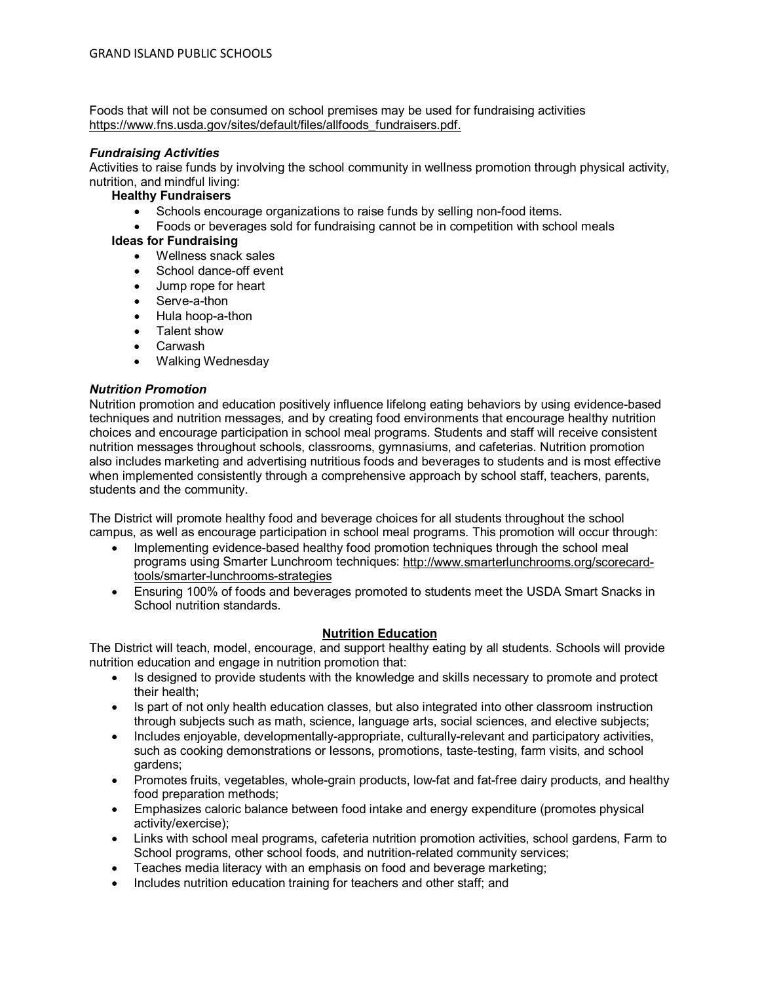Foods that will not be consumed on school premises may be used for fundraising activities [https://www.fns.usda.gov/sites/default/files/allfoods\\_fundraisers.pdf.](https://www.fns.usda.gov/sites/default/files/allfoods_fundraisers.pdf)

## *Fundraising Activities*

Activities to raise funds by involving the school community in wellness promotion through physical activity, nutrition, and mindful living:

## **Healthy Fundraisers**

- Schools encourage organizations to raise funds by selling non-food items.
- Foods or beverages sold for fundraising cannot be in competition with school meals

## **Ideas for Fundraising**

- Wellness snack sales
- School dance-off event
- Jump rope for heart
- Serve-a-thon
- Hula hoop-a-thon
- Talent show
- **Carwash**
- Walking Wednesday

## *Nutrition Promotion*

Nutrition promotion and education positively influence lifelong eating behaviors by using evidence-based techniques and nutrition messages, and by creating food environments that encourage healthy nutrition choices and encourage participation in school meal programs. Students and staff will receive consistent nutrition messages throughout schools, classrooms, gymnasiums, and cafeterias. Nutrition promotion also includes marketing and advertising nutritious foods and beverages to students and is most effective when implemented consistently through a comprehensive approach by school staff, teachers, parents, students and the community.

The District will promote healthy food and beverage choices for all students throughout the school campus, as well as encourage participation in school meal programs. This promotion will occur through:

- Implementing evidence-based healthy food promotion techniques through the school meal programs using Smarter Lunchroom techniques: [http://www.smarterlunchrooms.org/scorecard](http://www.smarterlunchrooms.org/scorecard-tools/smarter-lunchrooms-strategies)[tools/smarter-lunchrooms-strategies](http://www.smarterlunchrooms.org/scorecard-tools/smarter-lunchrooms-strategies)
- Ensuring 100% of foods and beverages promoted to students meet the USDA Smart Snacks in School nutrition standards.

## **Nutrition Education**

The District will teach, model, encourage, and support healthy eating by all students. Schools will provide nutrition education and engage in nutrition promotion that:

- Is designed to provide students with the knowledge and skills necessary to promote and protect their health;
- Is part of not only health education classes, but also integrated into other classroom instruction through subjects such as math, science, language arts, social sciences, and elective subjects;
- Includes enjoyable, developmentally-appropriate, culturally-relevant and participatory activities, such as cooking demonstrations or lessons, promotions, taste-testing, farm visits, and school gardens;
- Promotes fruits, vegetables, whole-grain products, low-fat and fat-free dairy products, and healthy food preparation methods;
- Emphasizes caloric balance between food intake and energy expenditure (promotes physical activity/exercise);
- Links with school meal programs, cafeteria nutrition promotion activities, school gardens, Farm to School programs, other school foods, and nutrition-related community services;
- Teaches media literacy with an emphasis on food and beverage marketing;
- Includes nutrition education training for teachers and other staff; and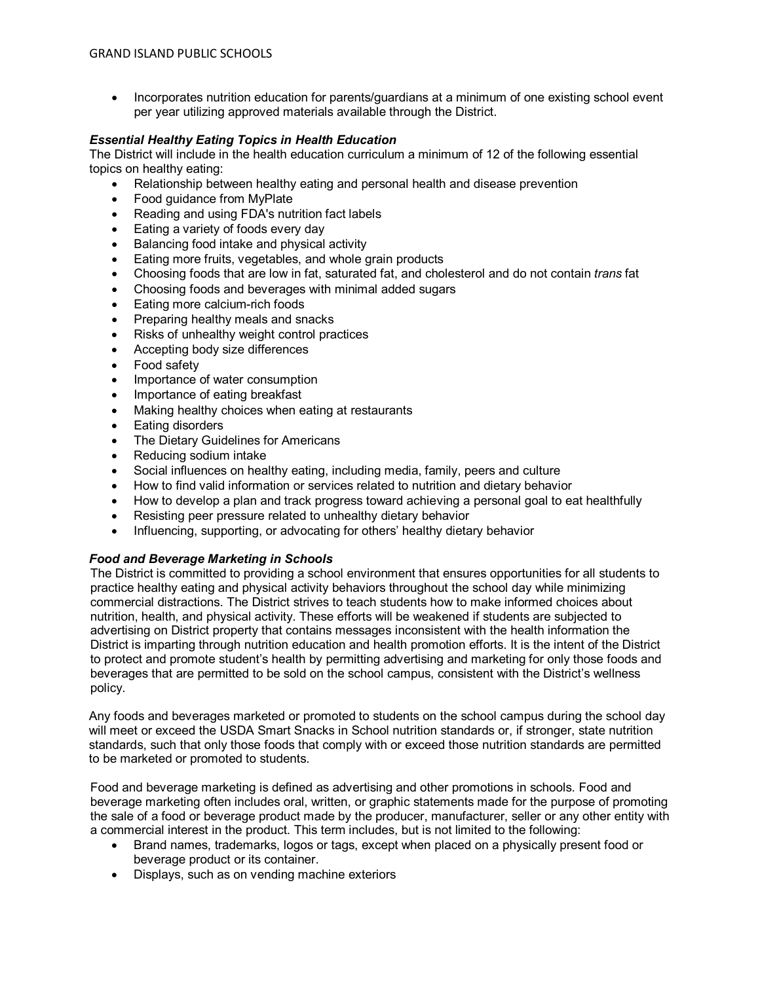• Incorporates nutrition education for parents/guardians at a minimum of one existing school event per year utilizing approved materials available through the District.

## *Essential Healthy Eating Topics in Health Education*

The District will include in the health education curriculum a minimum of 12 of the following essential topics on healthy eating:

- Relationship between healthy eating and personal health and disease prevention
- Food guidance from MyPlate
- Reading and using FDA's nutrition fact labels
- Eating a variety of foods every day
- Balancing food intake and physical activity
- Eating more fruits, vegetables, and whole grain products
- Choosing foods that are low in fat, saturated fat, and cholesterol and do not contain *trans* fat
- Choosing foods and beverages with minimal added sugars
- Eating more calcium-rich foods
- Preparing healthy meals and snacks
- Risks of unhealthy weight control practices
- Accepting body size differences
- Food safety
- Importance of water consumption
- Importance of eating breakfast
- Making healthy choices when eating at restaurants
- Eating disorders
- The Dietary Guidelines for Americans
- Reducing sodium intake
- Social influences on healthy eating, including media, family, peers and culture
- How to find valid information or services related to nutrition and dietary behavior
- How to develop a plan and track progress toward achieving a personal goal to eat healthfully
- Resisting peer pressure related to unhealthy dietary behavior
- Influencing, supporting, or advocating for others' healthy dietary behavior

## *Food and Beverage Marketing in Schools*

The District is committed to providing a school environment that ensures opportunities for all students to practice healthy eating and physical activity behaviors throughout the school day while minimizing commercial distractions. The District strives to teach students how to make informed choices about nutrition, health, and physical activity. These efforts will be weakened if students are subjected to advertising on District property that contains messages inconsistent with the health information the District is imparting through nutrition education and health promotion efforts. It is the intent of the District to protect and promote student's health by permitting advertising and marketing for only those foods and beverages that are permitted to be sold on the school campus, consistent with the District's wellness policy.

Any foods and beverages marketed or promoted to students on the school campus during the school day will meet or exceed the USDA Smart Snacks in School nutrition standards or, if stronger, state nutrition standards, such that only those foods that comply with or exceed those nutrition standards are permitted to be marketed or promoted to students.

Food and beverage marketing is defined as advertising and other promotions in schools. Food and beverage marketing often includes oral, written, or graphic statements made for the purpose of promoting the sale of a food or beverage product made by the producer, manufacturer, seller or any other entity with a commercial interest in the product. This term includes, but is not limited to the following:

- Brand names, trademarks, logos or tags, except when placed on a physically present food or beverage product or its container.
- Displays, such as on vending machine exteriors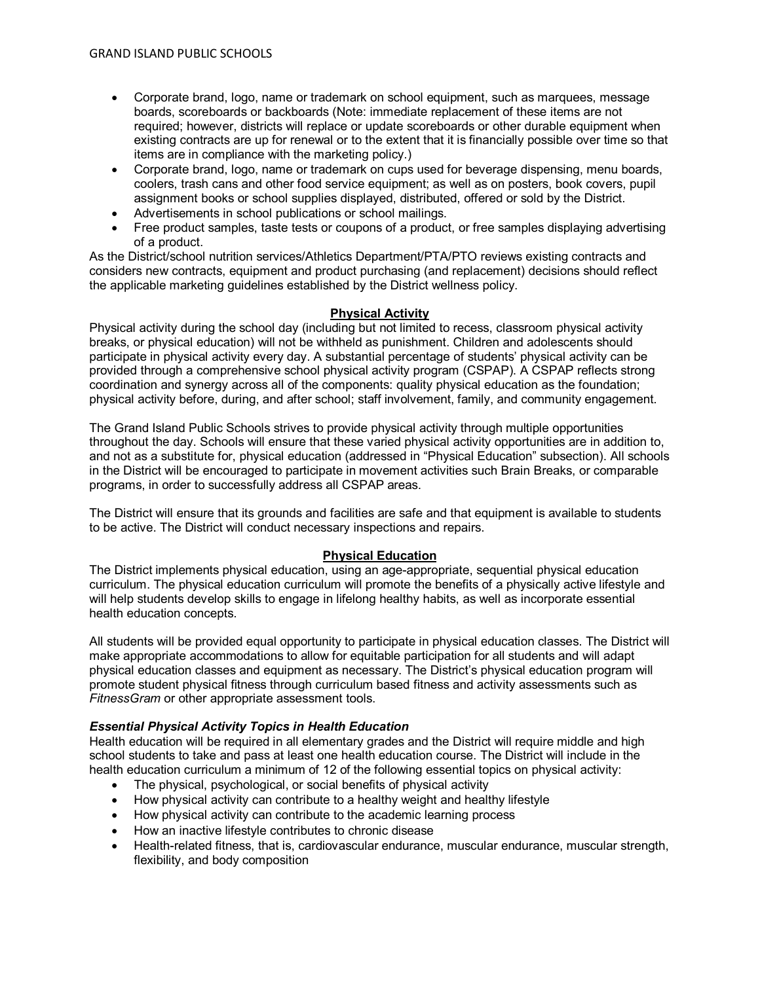- Corporate brand, logo, name or trademark on school equipment, such as marquees, message boards, scoreboards or backboards (Note: immediate replacement of these items are not required; however, districts will replace or update scoreboards or other durable equipment when existing contracts are up for renewal or to the extent that it is financially possible over time so that items are in compliance with the marketing policy.)
- Corporate brand, logo, name or trademark on cups used for beverage dispensing, menu boards, coolers, trash cans and other food service equipment; as well as on posters, book covers, pupil assignment books or school supplies displayed, distributed, offered or sold by the District.
- Advertisements in school publications or school mailings.
- Free product samples, taste tests or coupons of a product, or free samples displaying advertising of a product.

As the District/school nutrition services/Athletics Department/PTA/PTO reviews existing contracts and considers new contracts, equipment and product purchasing (and replacement) decisions should reflect the applicable marketing guidelines established by the District wellness policy.

## **Physical Activity**

Physical activity during the school day (including but not limited to recess, classroom physical activity breaks, or physical education) will not be withheld as punishment. Children and adolescents should participate in physical activity every day. A substantial percentage of students' physical activity can be provided through a comprehensive school physical activity program (CSPAP). A CSPAP reflects strong coordination and synergy across all of the components: quality physical education as the foundation; physical activity before, during, and after school; staff involvement, family, and community engagement.

The Grand Island Public Schools strives to provide physical activity through multiple opportunities throughout the day. Schools will ensure that these varied physical activity opportunities are in addition to, and not as a substitute for, physical education (addressed in "Physical Education" subsection). All schools in the District will be encouraged to participate in movement activities such Brain Breaks, or comparable programs, in order to successfully address all CSPAP areas.

The District will ensure that its grounds and facilities are safe and that equipment is available to students to be active. The District will conduct necessary inspections and repairs.

## **Physical Education**

The District implements physical education, using an age-appropriate, sequential physical education curriculum. The physical education curriculum will promote the benefits of a physically active lifestyle and will help students develop skills to engage in lifelong healthy habits, as well as incorporate essential health education concepts.

All students will be provided equal opportunity to participate in physical education classes. The District will make appropriate accommodations to allow for equitable participation for all students and will adapt physical education classes and equipment as necessary. The District's physical education program will promote student physical fitness through curriculum based fitness and activity assessments such as *FitnessGram* or other appropriate assessment tools.

## *Essential Physical Activity Topics in Health Education*

Health education will be required in all elementary grades and the District will require middle and high school students to take and pass at least one health education course. The District will include in the health education curriculum a minimum of 12 of the following essential topics on physical activity:

- The physical, psychological, or social benefits of physical activity
- How physical activity can contribute to a healthy weight and healthy lifestyle
- How physical activity can contribute to the academic learning process
- How an inactive lifestyle contributes to chronic disease
- Health-related fitness, that is, cardiovascular endurance, muscular endurance, muscular strength, flexibility, and body composition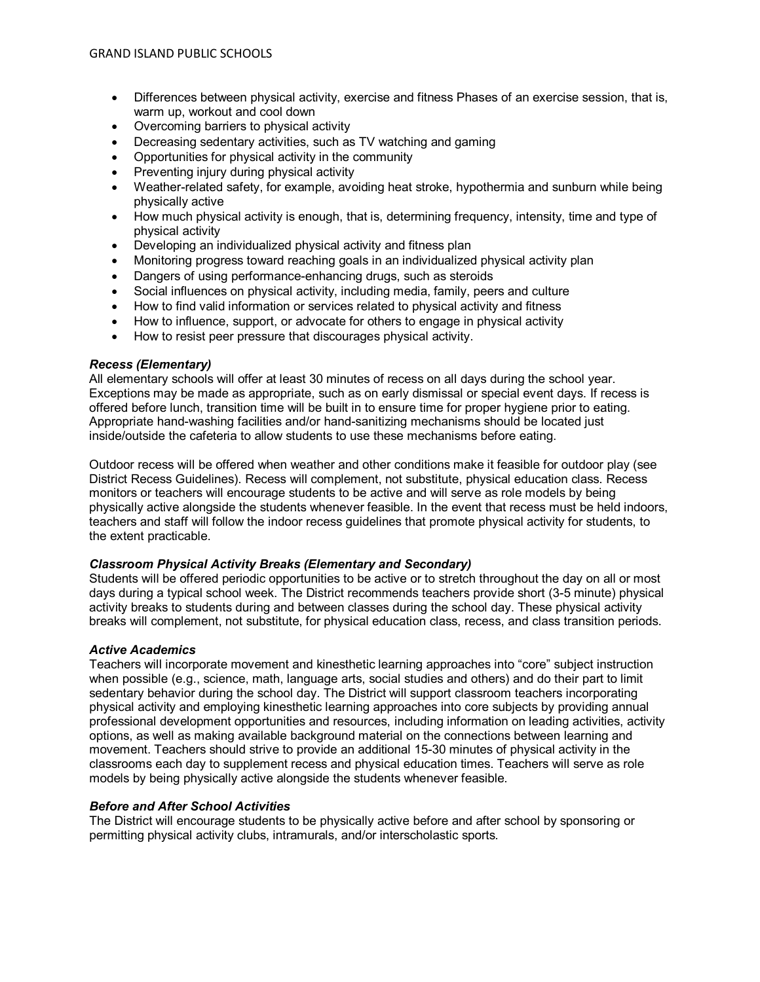- Differences between physical activity, exercise and fitness Phases of an exercise session, that is, warm up, workout and cool down
- Overcoming barriers to physical activity
- Decreasing sedentary activities, such as TV watching and gaming
- Opportunities for physical activity in the community
- Preventing injury during physical activity
- Weather-related safety, for example, avoiding heat stroke, hypothermia and sunburn while being physically active
- How much physical activity is enough, that is, determining frequency, intensity, time and type of physical activity
- Developing an individualized physical activity and fitness plan
- Monitoring progress toward reaching goals in an individualized physical activity plan
- Dangers of using performance-enhancing drugs, such as steroids
- Social influences on physical activity, including media, family, peers and culture
- How to find valid information or services related to physical activity and fitness
- How to influence, support, or advocate for others to engage in physical activity
- How to resist peer pressure that discourages physical activity.

#### *Recess (Elementary)*

All elementary schools will offer at least 30 minutes of recess on all days during the school year. Exceptions may be made as appropriate, such as on early dismissal or special event days. If recess is offered before lunch, transition time will be built in to ensure time for proper hygiene prior to eating. Appropriate hand-washing facilities and/or hand-sanitizing mechanisms should be located just inside/outside the cafeteria to allow students to use these mechanisms before eating.

Outdoor recess will be offered when weather and other conditions make it feasible for outdoor play (see District Recess Guidelines). Recess will complement, not substitute, physical education class. Recess monitors or teachers will encourage students to be active and will serve as role models by being physically active alongside the students whenever feasible. In the event that recess must be held indoors, teachers and staff will follow the indoor recess guidelines that promote physical activity for students, to the extent practicable.

## *Classroom Physical Activity Breaks (Elementary and Secondary)*

Students will be offered periodic opportunities to be active or to stretch throughout the day on all or most days during a typical school week. The District recommends teachers provide short (3-5 minute) physical activity breaks to students during and between classes during the school day. These physical activity breaks will complement, not substitute, for physical education class, recess, and class transition periods.

## *Active Academics*

Teachers will incorporate movement and kinesthetic learning approaches into "core" subject instruction when possible (e.g., science, math, language arts, social studies and others) and do their part to limit sedentary behavior during the school day. The District will support classroom teachers incorporating physical activity and employing kinesthetic learning approaches into core subjects by providing annual professional development opportunities and resources, including information on leading activities, activity options, as well as making available background material on the connections between learning and movement. Teachers should strive to provide an additional 15-30 minutes of physical activity in the classrooms each day to supplement recess and physical education times. Teachers will serve as role models by being physically active alongside the students whenever feasible.

## *Before and After School Activities*

The District will encourage students to be physically active before and after school by sponsoring or permitting physical activity clubs, intramurals, and/or interscholastic sports*.*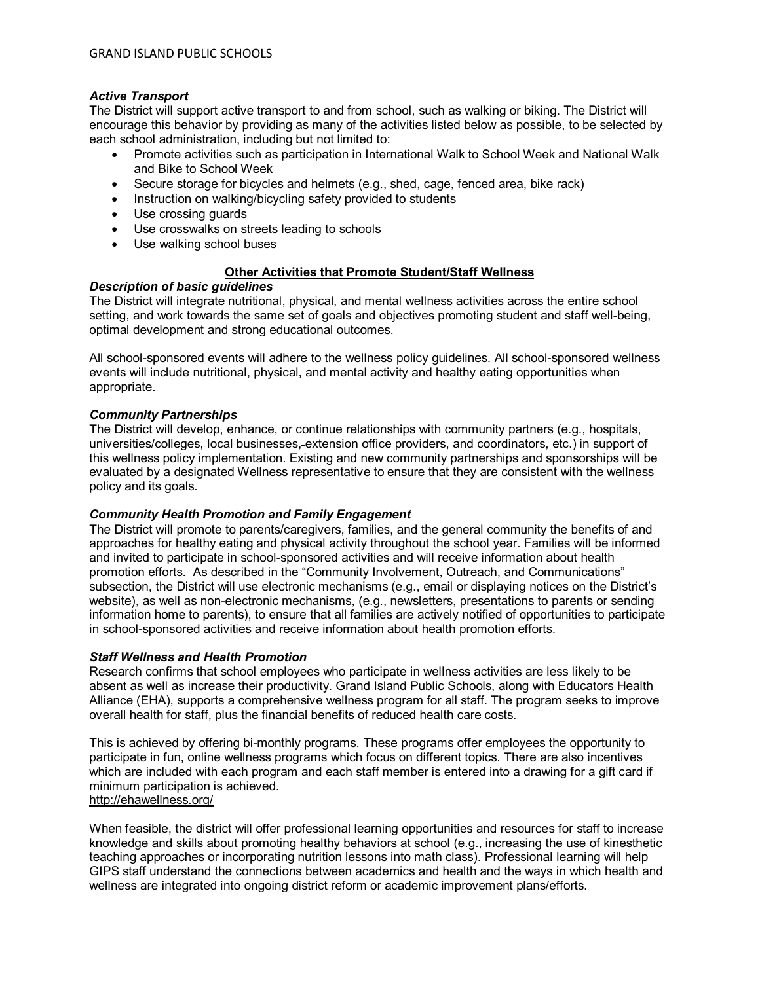# *Active Transport*

The District will support active transport to and from school, such as walking or biking. The District will encourage this behavior by providing as many of the activities listed below as possible, to be selected by each school administration, including but not limited to:

- Promote activities such as participation in International Walk to School Week and National Walk and Bike to School Week
- Secure storage for bicycles and helmets (e.g., shed, cage, fenced area, bike rack)
- Instruction on walking/bicycling safety provided to students
- Use crossing guards
- Use crosswalks on streets leading to schools
- Use walking school buses

## **Other Activities that Promote Student/Staff Wellness**

## *Description of basic guidelines*

The District will integrate nutritional, physical, and mental wellness activities across the entire school setting, and work towards the same set of goals and objectives promoting student and staff well-being, optimal development and strong educational outcomes.

All school-sponsored events will adhere to the wellness policy guidelines. All school-sponsored wellness events will include nutritional, physical, and mental activity and healthy eating opportunities when appropriate.

## *Community Partnerships*

The District will develop, enhance, or continue relationships with community partners (e.g., hospitals, universities/colleges, local businesses, extension office providers, and coordinators, etc.) in support of this wellness policy implementation. Existing and new community partnerships and sponsorships will be evaluated by a designated Wellness representative to ensure that they are consistent with the wellness policy and its goals.

## *Community Health Promotion and Family Engagement*

The District will promote to parents/caregivers, families, and the general community the benefits of and approaches for healthy eating and physical activity throughout the school year. Families will be informed and invited to participate in school-sponsored activities and will receive information about health promotion efforts. As described in the "Community Involvement, Outreach, and Communications" subsection, the District will use electronic mechanisms (e.g., email or displaying notices on the District's website), as well as non-electronic mechanisms, (e.g., newsletters, presentations to parents or sending information home to parents), to ensure that all families are actively notified of opportunities to participate in school-sponsored activities and receive information about health promotion efforts.

## *Staff Wellness and Health Promotion*

Research confirms that school employees who participate in wellness activities are less likely to be absent as well as increase their productivity. Grand Island Public Schools, along with Educators Health Alliance (EHA), supports a comprehensive wellness program for all staff. The program seeks to improve overall health for staff, plus the financial benefits of reduced health care costs.

This is achieved by offering bi-monthly programs. These programs offer employees the opportunity to participate in fun, online wellness programs which focus on different topics. There are also incentives which are included with each program and each staff member is entered into a drawing for a gift card if minimum participation is achieved.

# <http://ehawellness.org/>

When feasible, the district will offer professional learning opportunities and resources for staff to increase knowledge and skills about promoting healthy behaviors at school (e.g., increasing the use of kinesthetic teaching approaches or incorporating nutrition lessons into math class). Professional learning will help GIPS staff understand the connections between academics and health and the ways in which health and wellness are integrated into ongoing district reform or academic improvement plans/efforts.